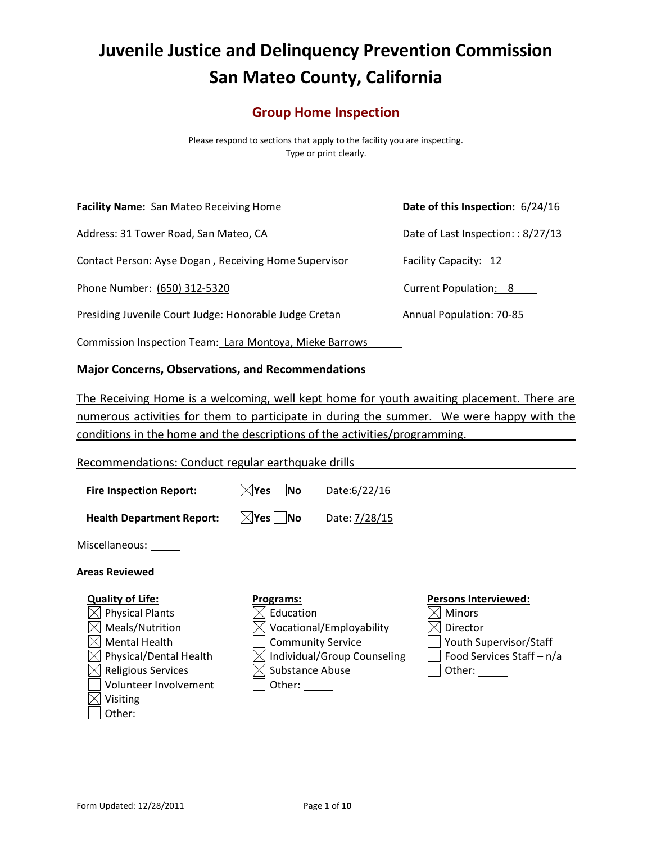# **Juvenile Justice and Delinquency Prevention Commission San Mateo County, California**

# **Group Home Inspection**

Please respond to sections that apply to the facility you are inspecting. Type or print clearly.

**Facility Name:** San Mateo Receiving Home **Date of this Inspection:** 6/24/16

Address: 31 Tower Road, San Mateo, CA Date of Last Inspection: : 8/27/13

Contact Person: Ayse Dogan, Receiving Home Supervisor Facility Capacity: 12

Phone Number: (650) 312-5320 Current Population: 8

Presiding Juvenile Court Judge: Honorable Judge Cretan Annual Population: 70-85

Commission Inspection Team: Lara Montoya, Mieke Barrows

# **Major Concerns, Observations, and Recommendations**

The Receiving Home is a welcoming, well kept home for youth awaiting placement. There are numerous activities for them to participate in during the summer. We were happy with the conditions in the home and the descriptions of the activities/programming.

Recommendations: Conduct regular earthquake drills

| <b>Health Department Report:</b> | $\boxtimes$ Yes $\Box$ No | Date: 7/28/15 |
|----------------------------------|---------------------------|---------------|

**Fire Inspection Report:**  $\lfloor \sqrt{x} \rfloor$  **No** Date:6/22/16

Miscellaneous:

**Quality of Life:**  $\boxtimes$  Physical Plants  $\boxtimes$  Meals/Nutrition  $\boxtimes$  Mental Health

 $\boxtimes$  Physical/Dental Health  $\times$  Religious Services Volunteer Involvement

#### **Areas Reviewed**

#### **Programs:**

- $\boxtimes$  Education
- $\boxtimes$  Vocational/Employability
- Community Service
- $\boxtimes$  Individual/Group Counseling

 $\times$  Substance Abuse

| Other:

#### **Persons Interviewed:**



 $\boxtimes$  Visiting

Other: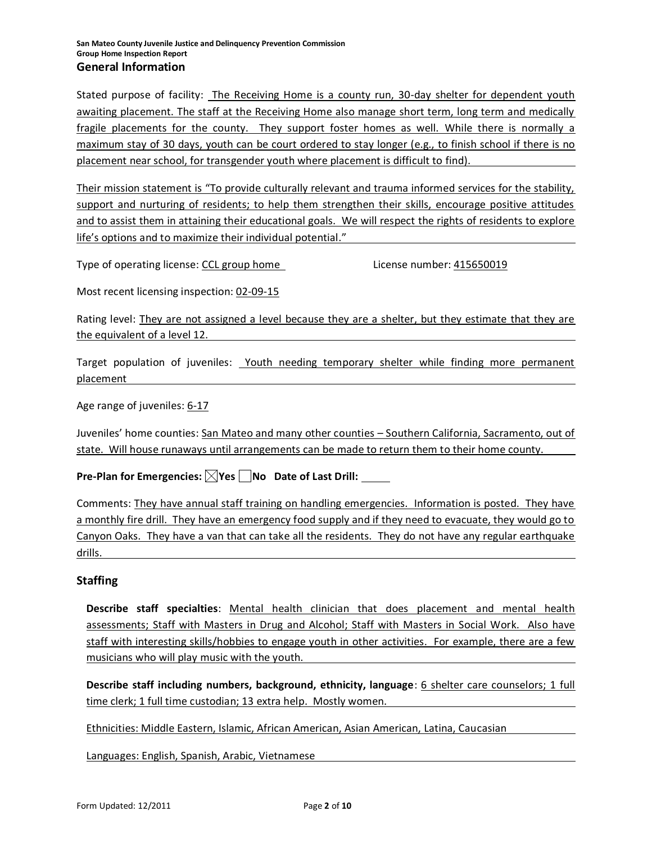Stated purpose of facility: The Receiving Home is a county run, 30-day shelter for dependent youth awaiting placement. The staff at the Receiving Home also manage short term, long term and medically fragile placements for the county. They support foster homes as well. While there is normally a maximum stay of 30 days, youth can be court ordered to stay longer (e.g., to finish school if there is no placement near school, for transgender youth where placement is difficult to find).

Their mission statement is "To provide culturally relevant and trauma informed services for the stability, support and nurturing of residents; to help them strengthen their skills, encourage positive attitudes and to assist them in attaining their educational goals. We will respect the rights of residents to explore life's options and to maximize their individual potential."

Type of operating license: CCL group home License number: 415650019

Most recent licensing inspection: 02-09-15

Rating level: They are not assigned a level because they are a shelter, but they estimate that they are the equivalent of a level 12.

Target population of juveniles: Youth needing temporary shelter while finding more permanent placement

Age range of juveniles: 6-17

Juveniles' home counties: San Mateo and many other counties - Southern California, Sacramento, out of state. Will house runaways until arrangements can be made to return them to their home county.

**Pre-Plan for Emergencies: Yes No Date of Last Drill:**

Comments: They have annual staff training on handling emergencies. Information is posted. They have a monthly fire drill. They have an emergency food supply and if they need to evacuate, they would go to Canyon Oaks. They have a van that can take all the residents. They do not have any regular earthquake drills.

# **Staffing**

**Describe staff specialties**: Mental health clinician that does placement and mental health assessments; Staff with Masters in Drug and Alcohol; Staff with Masters in Social Work. Also have staff with interesting skills/hobbies to engage youth in other activities. For example, there are a few musicians who will play music with the youth.

**Describe staff including numbers, background, ethnicity, language: 6 shelter care counselors; 1 full** time clerk; 1 full time custodian; 13 extra help. Mostly women.

Ethnicities: Middle Eastern, Islamic, African American, Asian American, Latina, Caucasian

Languages: English, Spanish, Arabic, Vietnamese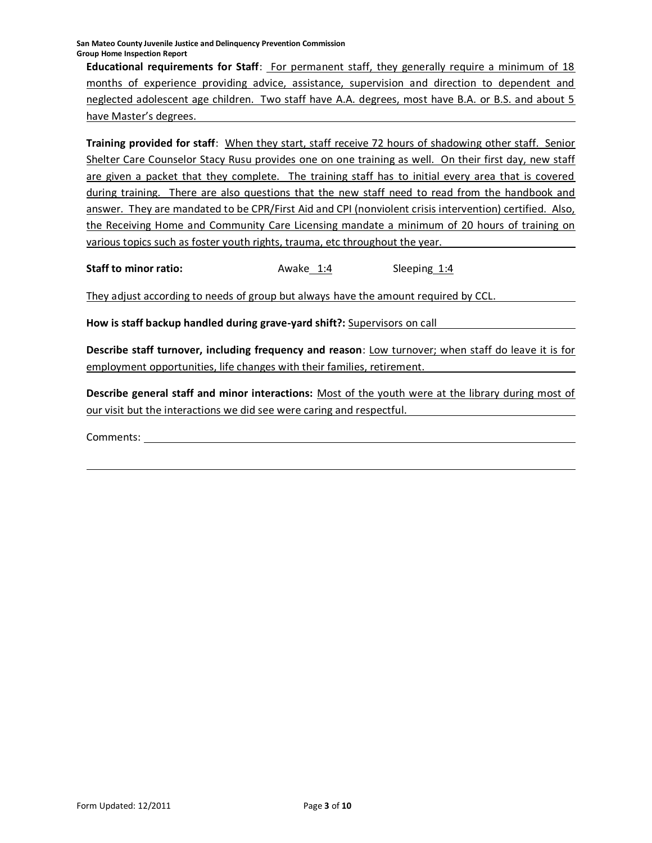**San Mateo County Juvenile Justice and Delinquency Prevention Commission Group Home Inspection Report**

**Educational requirements for Staff**: For permanent staff, they generally require a minimum of 18 months of experience providing advice, assistance, supervision and direction to dependent and neglected adolescent age children. Two staff have A.A. degrees, most have B.A. or B.S. and about 5 have Master's degrees.

**Training provided for staff**: When they start, staff receive 72 hours of shadowing other staff. Senior Shelter Care Counselor Stacy Rusu provides one on one training as well. On their first day, new staff are given a packet that they complete. The training staff has to initial every area that is covered during training. There are also questions that the new staff need to read from the handbook and answer. They are mandated to be CPR/First Aid and CPI (nonviolent crisis intervention) certified. Also, the Receiving Home and Community Care Licensing mandate a minimum of 20 hours of training on various topics such as foster youth rights, trauma, etc throughout the year.

**Staff to minor ratio:** Awake 1:4 Sleeping 1:4

They adjust according to needs of group but always have the amount required by CCL.

**How is staff backup handled during grave-yard shift?:** Supervisors on call

**Describe staff turnover, including frequency and reason**: Low turnover; when staff do leave it is for employment opportunities, life changes with their families, retirement.

**Describe general staff and minor interactions:** Most of the youth were at the library during most of our visit but the interactions we did see were caring and respectful.

Comments: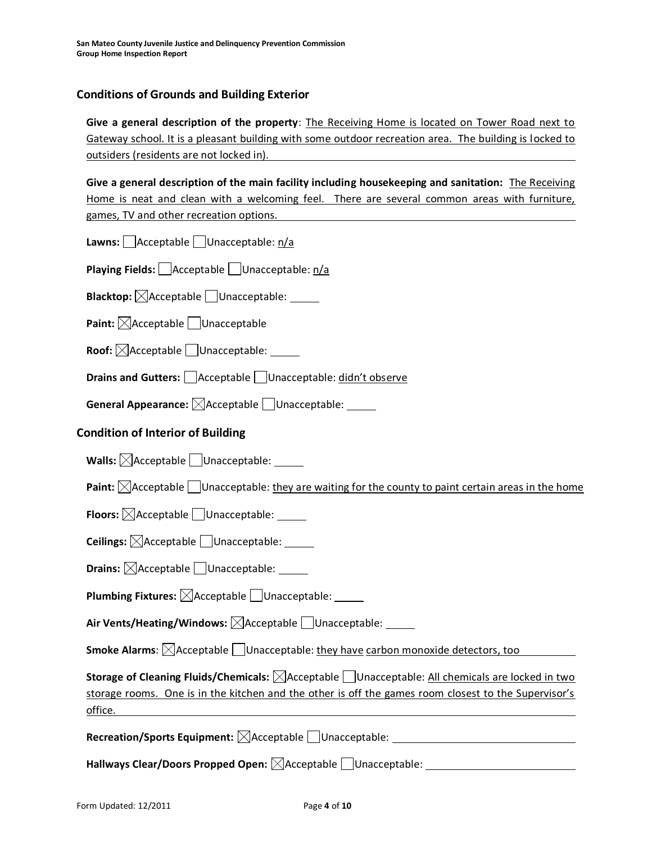# **Conditions of Grounds and Building Exterior**

**Give a general description of the property**: The Receiving Home is located on Tower Road next to Gateway school. It is a pleasant building with some outdoor recreation area. The building is locked to outsiders (residents are not locked in).

**Give a general description of the main facility including housekeeping and sanitation:** The Receiving Home is neat and clean with a welcoming feel. There are several common areas with furniture, games, TV and other recreation options.

**Lawns:** <u>Acceptable</u> Unacceptable: n/a

**Playing Fields:** Acceptable Unacceptable: n/a

**Blacktop:**  $\boxtimes$  Acceptable Unacceptable:

**Paint:**  $\boxtimes$  Acceptable Unacceptable

**Roof:**  $\boxtimes$  Acceptable  $\Box$  Unacceptable:

**Drains and Gutters:** Acceptable Unacceptable: didn't observe

**General Appearance:** Acceptable Unacceptable:

# **Condition of Interior of Building**

**Walls:**  $\boxed{\diagdownarrow}$ Acceptable  $\boxed{\Box}$  Unacceptable:

**Paint:**  $\boxtimes$  Acceptable  $\Box$  Unacceptable: they are waiting for the county to paint certain areas in the home

**Floors:**  $\boxtimes$  Acceptable  $\Box$  Unacceptable:

**Ceilings:**  $\boxtimes$  Acceptable Unacceptable:

**Drains:**  $\boxtimes$  Acceptable Unacceptable:

**Plumbing Fixtures:**  $\boxtimes$  Acceptable Unacceptable:

Air Vents/Heating/Windows:  $\boxtimes$ Acceptable DUnacceptable:

**Smoke Alarms**:  $\boxtimes$  Acceptable Unacceptable: they have carbon monoxide detectors, too

**Storage of Cleaning Fluids/Chemicals:** Acceptable Unacceptable: All chemicals are locked in two storage rooms. One is in the kitchen and the other is off the games room closest to the Supervisor's office.

**Recreation/Sports Equipment:**  $\boxtimes$  Acceptable  $\Box$  Unacceptable:

Hallways Clear/Doors Propped Open:  $\boxtimes$ Acceptable  $\Box$ Unacceptable: \_\_\_\_\_\_\_\_\_\_\_\_\_\_\_\_\_\_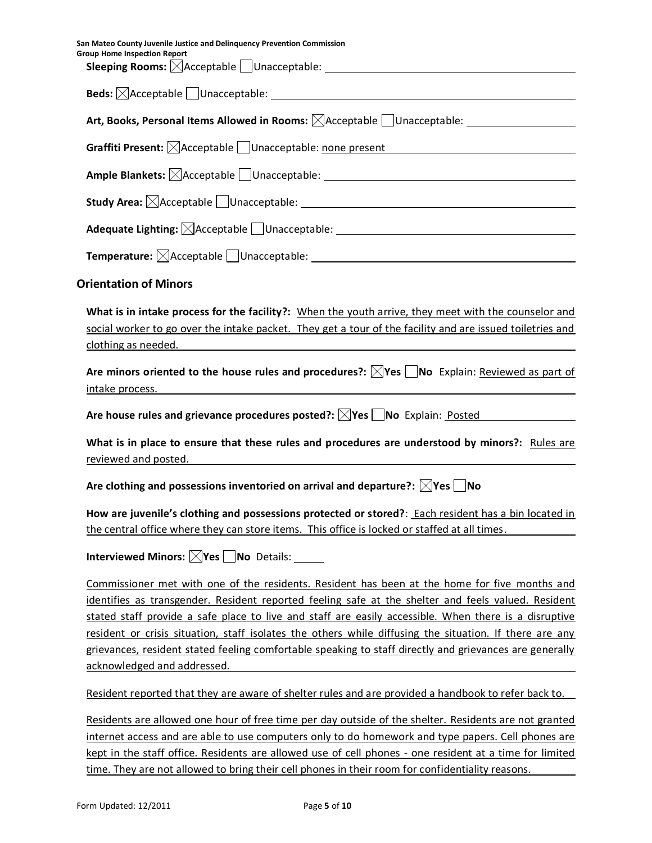| San Mateo County Juvenile Justice and Delinquency Prevention Commission<br><b>Group Home Inspection Report</b>                                                                                                                                                                                                                                                                                                                                                                                                                                                     |
|--------------------------------------------------------------------------------------------------------------------------------------------------------------------------------------------------------------------------------------------------------------------------------------------------------------------------------------------------------------------------------------------------------------------------------------------------------------------------------------------------------------------------------------------------------------------|
|                                                                                                                                                                                                                                                                                                                                                                                                                                                                                                                                                                    |
| Art, Books, Personal Items Allowed in Rooms: $\boxtimes$ Acceptable Unacceptable: Unacceptable 2001                                                                                                                                                                                                                                                                                                                                                                                                                                                                |
| Graffiti Present: Acceptable Unacceptable: none present Cambridge Controller and Acceptable Duncate Controller                                                                                                                                                                                                                                                                                                                                                                                                                                                     |
|                                                                                                                                                                                                                                                                                                                                                                                                                                                                                                                                                                    |
|                                                                                                                                                                                                                                                                                                                                                                                                                                                                                                                                                                    |
| Adequate Lighting: $\boxtimes$ Acceptable Unacceptable: ________________________________                                                                                                                                                                                                                                                                                                                                                                                                                                                                           |
|                                                                                                                                                                                                                                                                                                                                                                                                                                                                                                                                                                    |
| <b>Orientation of Minors</b>                                                                                                                                                                                                                                                                                                                                                                                                                                                                                                                                       |
| What is in intake process for the facility?: When the youth arrive, they meet with the counselor and<br>social worker to go over the intake packet. They get a tour of the facility and are issued toiletries and<br>clothing as needed.<br><u> 1989 - Johann Stein, mars an deutscher Stein († 1989)</u>                                                                                                                                                                                                                                                          |
| Are minors oriented to the house rules and procedures?: $\boxtimes$ Yes $\Box$ No Explain: Reviewed as part of<br>intake process.                                                                                                                                                                                                                                                                                                                                                                                                                                  |
| Are house rules and grievance procedures posted?: XYes INo Explain: Posted                                                                                                                                                                                                                                                                                                                                                                                                                                                                                         |
| What is in place to ensure that these rules and procedures are understood by minors?: Rules are<br>reviewed and posted.                                                                                                                                                                                                                                                                                                                                                                                                                                            |
| Are clothing and possessions inventoried on arrival and departure?: $\boxtimes$ Yes $\Box$ No                                                                                                                                                                                                                                                                                                                                                                                                                                                                      |
| How are juvenile's clothing and possessions protected or stored?: Each resident has a bin located in<br>the central office where they can store items. This office is locked or staffed at all times.                                                                                                                                                                                                                                                                                                                                                              |
| Interviewed Minors: $\boxtimes$ Yes $\Box$ No Details:                                                                                                                                                                                                                                                                                                                                                                                                                                                                                                             |
| Commissioner met with one of the residents. Resident has been at the home for five months and<br>identifies as transgender. Resident reported feeling safe at the shelter and feels valued. Resident<br>stated staff provide a safe place to live and staff are easily accessible. When there is a disruptive<br>resident or crisis situation, staff isolates the others while diffusing the situation. If there are any<br>grievances, resident stated feeling comfortable speaking to staff directly and grievances are generally<br>acknowledged and addressed. |
| Resident reported that they are aware of shelter rules and are provided a handbook to refer back to.                                                                                                                                                                                                                                                                                                                                                                                                                                                               |
| Residents are allowed one hour of free time per day outside of the shelter. Residents are not granted<br>internet access and are able to use computers only to do homework and type papers. Cell phones are                                                                                                                                                                                                                                                                                                                                                        |

kept in the staff office. Residents are allowed use of cell phones - one resident at a time for limited time. They are not allowed to bring their cell phones in their room for confidentiality reasons.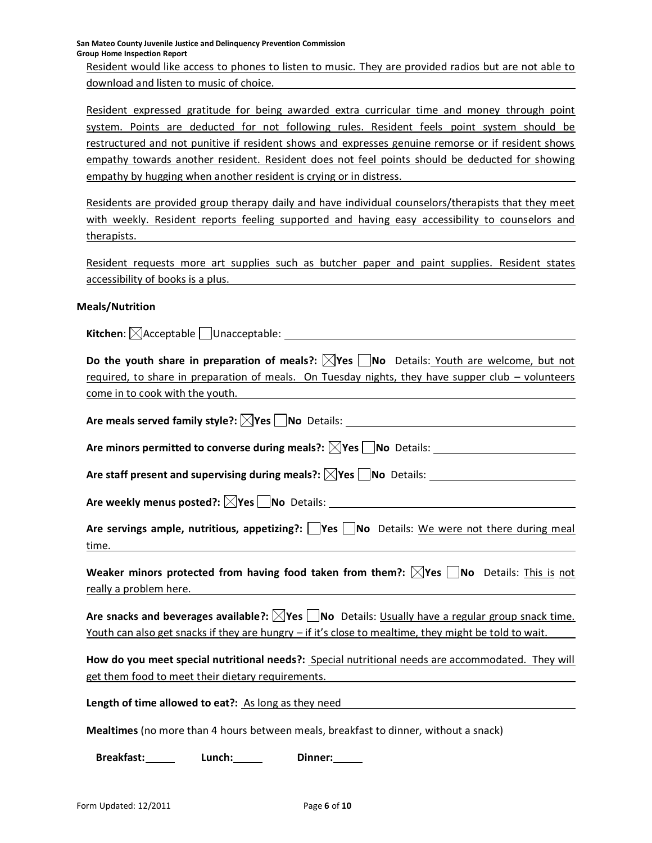**San Mateo County Juvenile Justice and Delinquency Prevention Commission Group Home Inspection Report**

Resident would like access to phones to listen to music. They are provided radios but are not able to download and listen to music of choice.

Resident expressed gratitude for being awarded extra curricular time and money through point system. Points are deducted for not following rules. Resident feels point system should be restructured and not punitive if resident shows and expresses genuine remorse or if resident shows empathy towards another resident. Resident does not feel points should be deducted for showing empathy by hugging when another resident is crying or in distress.

Residents are provided group therapy daily and have individual counselors/therapists that they meet with weekly. Resident reports feeling supported and having easy accessibility to counselors and therapists.

Resident requests more art supplies such as butcher paper and paint supplies. Resident states accessibility of books is a plus.

#### **Meals/Nutrition**

**Kitchen**:  $\boxtimes$  Acceptable Unacceptable: \_

**Do the youth share in preparation of meals?:**  $\boxtimes$ **Yes**  $\Box$ **No Details: Youth are welcome, but not** required, to share in preparation of meals. On Tuesday nights, they have supper club – volunteers come in to cook with the youth.

**Are meals served family style?: Yes No** Details:

Are minors permitted to converse during meals?:  $\boxtimes$ Yes  $\Box$ No Details:

Are staff present and supervising during meals?:  $\boxtimes$  Yes  $\Box$  No Details:

**Are weekly menus posted?: Yes No** Details:

Are servings ample, nutritious, appetizing?: **Yes** No Details: We were not there during meal time.

**Weaker minors protected from having food taken from them?:**  $\boxtimes$ **Yes**  $\Box$ **No** Details: This is not really a problem here.

Are snacks and beverages available?:  $\boxtimes$ Yes  $\Box$ No Details: Usually have a regular group snack time. Youth can also get snacks if they are hungry – if it's close to mealtime, they might be told to wait.

**How do you meet special nutritional needs?:** Special nutritional needs are accommodated. They will get them food to meet their dietary requirements.

**Length of time allowed to eat?:** As long as they need

**Mealtimes** (no more than 4 hours between meals, breakfast to dinner, without a snack)

**Breakfast: Lunch: Dinner:**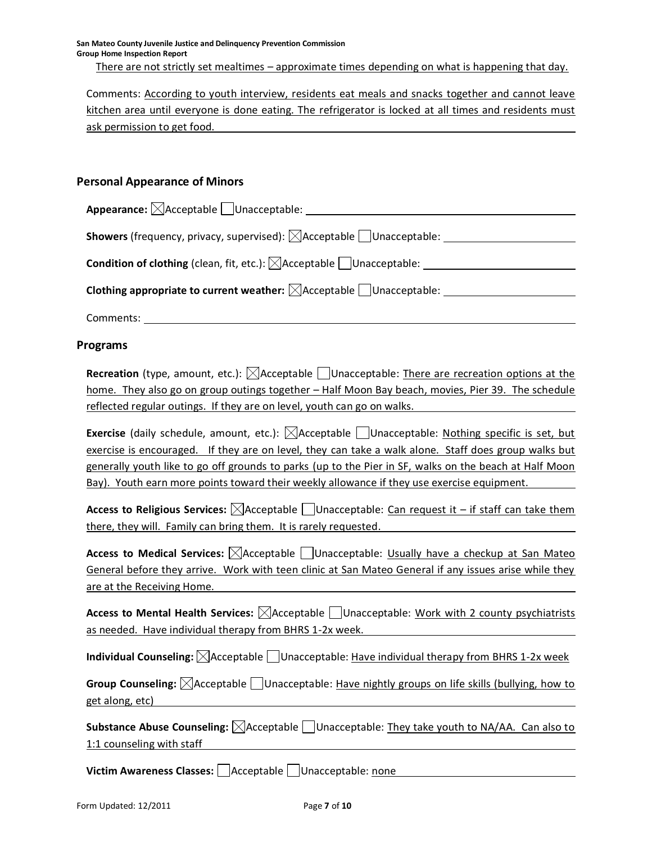Comments: According to youth interview, residents eat meals and snacks together and cannot leave kitchen area until everyone is done eating. The refrigerator is locked at all times and residents must ask permission to get food.

# **Personal Appearance of Minors**

| Appearance: $\boxtimes$ Acceptable $\Box$ Unacceptable:                                      |  |
|----------------------------------------------------------------------------------------------|--|
| <b>Showers</b> (frequency, privacy, supervised): $\boxtimes$ Acceptable $\Box$ Unacceptable: |  |
| <b>Condition of clothing</b> (clean, fit, etc.): $\boxtimes$ Acceptable $\Box$ Unacceptable: |  |
|                                                                                              |  |
| <b>Clothing appropriate to current weather:</b> $\boxtimes$ Acceptable $\Box$ Unacceptable:  |  |

Comments:

# **Programs**

**Recreation** (type, amount, etc.):  $\boxtimes$  Acceptable  $\Box$  Unacceptable: There are recreation options at the home. They also go on group outings together - Half Moon Bay beach, movies, Pier 39. The schedule reflected regular outings. If they are on level, youth can go on walks.

**Exercise** (daily schedule, amount, etc.):  $\boxtimes$  Acceptable  $\Box$  Unacceptable: Nothing specific is set, but exercise is encouraged. If they are on level, they can take a walk alone. Staff does group walks but generally youth like to go off grounds to parks (up to the Pier in SF, walks on the beach at Half Moon Bay). Youth earn more points toward their weekly allowance if they use exercise equipment.

**Access to Religious Services:**  $\boxtimes$  Acceptable  $\Box$  Unacceptable: Can request it – if staff can take them there, they will. Family can bring them. It is rarely requested.

**Access to Medical Services:**  $\boxtimes$  Acceptable  $\Box$  Unacceptable: Usually have a checkup at San Mateo General before they arrive. Work with teen clinic at San Mateo General if any issues arise while they are at the Receiving Home.

**Access to Mental Health Services:**  $\boxtimes$  Acceptable  $\Box$  Unacceptable: Work with 2 county psychiatrists as needed. Have individual therapy from BHRS 1-2x week.

**Individual Counseling:**  $\boxtimes$  Acceptable  $\Box$  Unacceptable: Have individual therapy from BHRS 1-2x week

**Group Counseling:**  $\boxtimes$  Acceptable  $\Box$  Unacceptable: Have nightly groups on life skills (bullying, how to get along, etc)

**Substance Abuse Counseling:**  $\boxtimes$  Acceptable  $\Box$  Unacceptable: They take youth to NA/AA. Can also to 1:1 counseling with staff

**Victim Awareness Classes:** Acceptable Unacceptable: none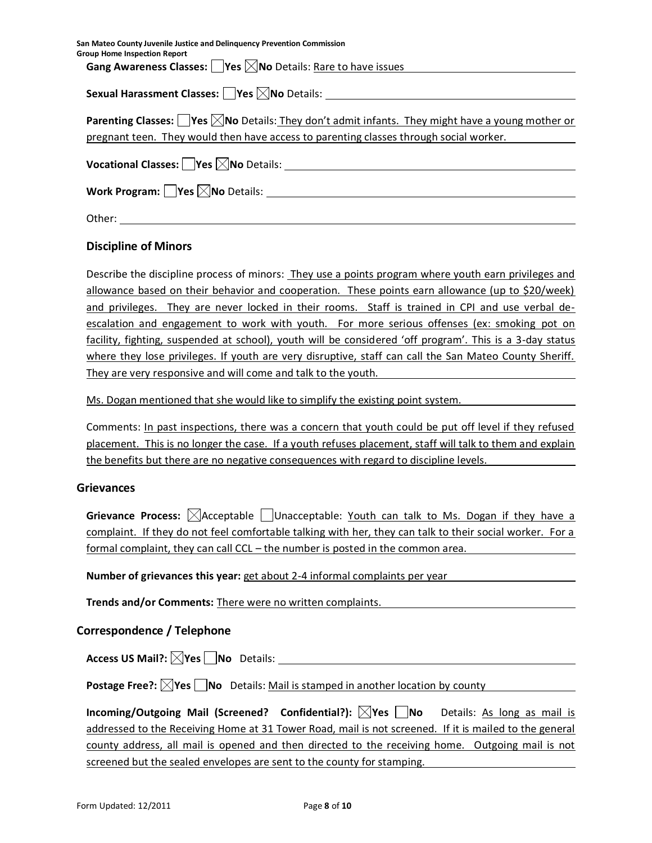**San Mateo County Juvenile Justice and Delinquency Prevention Commission Group Home Inspection Report Gang Awareness Classes: Yes No** Details: Rare to have issues

**Sexual Harassment Classes: Yes No** Details:

| Parenting Classes: $\Box$ Yes $\boxtimes$ No Details: They don't admit infants. They might have a young mother or |
|-------------------------------------------------------------------------------------------------------------------|
| pregnant teen. They would then have access to parenting classes through social worker.                            |

**Vocational Classes: Yes No** Details:

**Work Program: Yes No** Details:

Other:

# **Discipline of Minors**

Describe the discipline process of minors: They use a points program where youth earn privileges and allowance based on their behavior and cooperation. These points earn allowance (up to \$20/week) and privileges. They are never locked in their rooms. Staff is trained in CPI and use verbal deescalation and engagement to work with youth. For more serious offenses (ex: smoking pot on facility, fighting, suspended at school), youth will be considered 'off program'. This is a 3-day status where they lose privileges. If youth are very disruptive, staff can call the San Mateo County Sheriff. They are very responsive and will come and talk to the youth.

Ms. Dogan mentioned that she would like to simplify the existing point system.

Comments: In past inspections, there was a concern that youth could be put off level if they refused placement. This is no longer the case. If a youth refuses placement, staff will talk to them and explain the benefits but there are no negative consequences with regard to discipline levels.

# **Grievances**

**Grievance Process:**  $\boxtimes$  Acceptable  $\Box$  Unacceptable: Youth can talk to Ms. Dogan if they have a complaint. If they do not feel comfortable talking with her, they can talk to their social worker. For a formal complaint, they can call CCL – the number is posted in the common area.

**Number of grievances this year:** get about 2-4 informal complaints per year

**Trends and/or Comments:** There were no written complaints.

# **Correspondence / Telephone**

**Access US Mail?: Yes No** Details:

**Postage Free?:**  $\boxtimes$  **Yes**  $\Box$  **No** Details: Mail is stamped in another location by county

| Incoming/Outgoing Mail (Screened? Confidential?): $\boxtimes$ Yes $\Box$ No Details: As long as mail is |  |
|---------------------------------------------------------------------------------------------------------|--|
| addressed to the Receiving Home at 31 Tower Road, mail is not screened. If it is mailed to the general  |  |
| county address, all mail is opened and then directed to the receiving home. Outgoing mail is not        |  |
| screened but the sealed envelopes are sent to the county for stamping.                                  |  |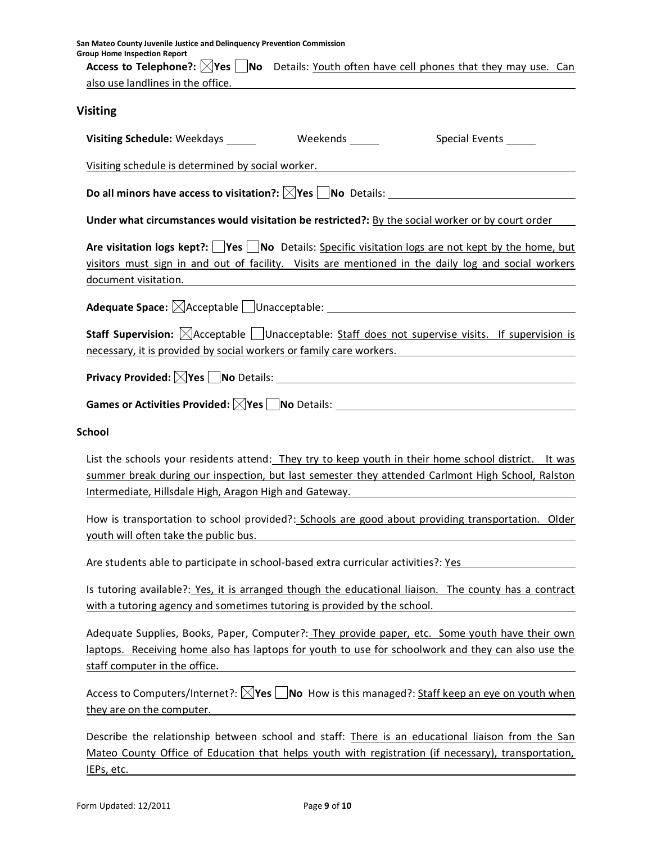| San Mateo County Juvenile Justice and Delinquency Prevention Commission<br><b>Group Home Inspection Report</b><br>Access to Telephone?: <b>Nes</b> Mo Details: Youth often have cell phones that they may use. Can                                                  |
|---------------------------------------------------------------------------------------------------------------------------------------------------------------------------------------------------------------------------------------------------------------------|
| also use landlines in the office. The contract of the contract of the contract of the contract of the contract of the contract of the contract of the contract of the contract of the contract of the contract of the contract                                      |
| <b>Visiting</b>                                                                                                                                                                                                                                                     |
| Special Events ______                                                                                                                                                                                                                                               |
| Visiting schedule is determined by social worker.<br>visiting schedule is determined by social worker.                                                                                                                                                              |
|                                                                                                                                                                                                                                                                     |
| Under what circumstances would visitation be restricted?: By the social worker or by court order                                                                                                                                                                    |
| Are visitation logs kept?: $\Box$ Yes $\Box$ No Details: Specific visitation logs are not kept by the home, but<br>visitors must sign in and out of facility. Visits are mentioned in the daily log and social workers<br>document visitation.                      |
|                                                                                                                                                                                                                                                                     |
| Staff Supervision: <b>MAcceptable</b> Unacceptable: Staff does not supervise visits. If supervision is<br>necessary, it is provided by social workers or family care workers.                                                                                       |
|                                                                                                                                                                                                                                                                     |
| Games or Activities Provided: $\boxtimes$ Yes $\Box$ No Details: $\_\_\_\_\_\_$                                                                                                                                                                                     |
| <b>School</b>                                                                                                                                                                                                                                                       |
| List the schools your residents attend: They try to keep youth in their home school district. It was<br>summer break during our inspection, but last semester they attended Carlmont High School, Ralston<br>Intermediate, Hillsdale High, Aragon High and Gateway. |
| How is transportation to school provided?: Schools are good about providing transportation. Older<br>youth will often take the public bus.                                                                                                                          |
| Are students able to participate in school-based extra curricular activities?: Yes                                                                                                                                                                                  |
| Is tutoring available?: Yes, it is arranged though the educational liaison. The county has a contract<br>with a tutoring agency and sometimes tutoring is provided by the school.                                                                                   |
| Adequate Supplies, Books, Paper, Computer?: They provide paper, etc. Some youth have their own<br>laptops. Receiving home also has laptops for youth to use for schoolwork and they can also use the<br>staff computer in the office.                               |
| Access to Computers/Internet?: $\boxtimes$ Yes $\Box$ No How is this managed?: Staff keep an eye on youth when<br>they are on the computer.                                                                                                                         |
| Describe the relationship between school and staff: There is an educational liaison from the San<br>Mateo County Office of Education that helps youth with registration (if necessary), transportation,                                                             |